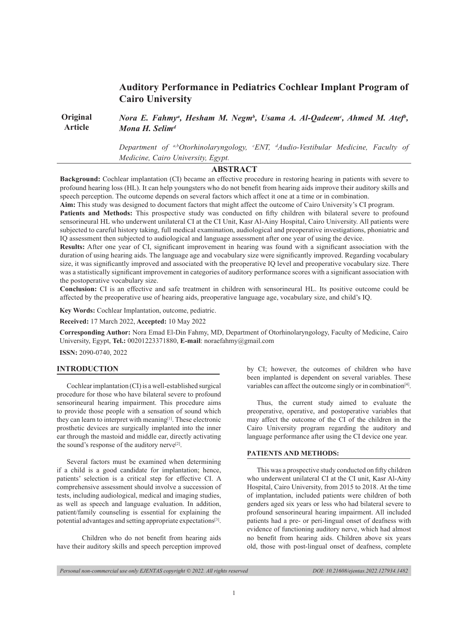# **Auditory Performance in Pediatrics Cochlear Implant Program of Cairo University**

**Original Article**  *Nora E. Fahmy<sup>a</sup>, Hesham M. Negm<sup>b</sup>, Usama A. Al-Qadeem<sup>c</sup>, Ahmed M. Atef<sup>b</sup>, Mona H. Selimd*

> *Department of a,bOtorhinolaryngology, c ENT, d Audio-Vestibular Medicine, Faculty of Medicine, Cairo University, Egypt.*

# **ABSTRACT**

**Background:** Cochlear implantation (CI) became an effective procedure in restoring hearing in patients with severe to profound hearing loss (HL). It can help youngsters who do not benefit from hearing aids improve their auditory skills and speech perception. The outcome depends on several factors which affect it one at a time or in combination.

**Aim:** This study was designed to document factors that might affect the outcome of Cairo University's CI program.

**Patients and Methods:** This prospective study was conducted on fifty children with bilateral severe to profound sensorineural HL who underwent unilateral CI at the CI Unit, Kasr Al-Ainy Hospital, Cairo University. All patients were subjected to careful history taking, full medical examination, audiological and preoperative investigations, phoniatric and IQ assessment then subjected to audiological and language assessment after one year of using the device.

**Results:** After one year of CI, significant improvement in hearing was found with a significant association with the duration of using hearing aids. The language age and vocabulary size were significantly improved. Regarding vocabulary size, it was significantly improved and associated with the preoperative IQ level and preoperative vocabulary size. There was a statistically significant improvement in categories of auditory performance scores with a significant association with the postoperative vocabulary size.

**Conclusion:** CI is an effective and safe treatment in children with sensorineural HL. Its positive outcome could be affected by the preoperative use of hearing aids, preoperative language age, vocabulary size, and child's IQ.

**Key Words:** Cochlear Implantation, outcome, pediatric.

**Received:** 17 March 2022, **Accepted:** 10 May 2022

**Corresponding Author:** Nora Emad El-Din Fahmy, MD, Department of Otorhinolaryngology, Faculty of Medicine, Cairo University, Egypt, **Tel.:** 00201223371880, **E-mail**: noraefahmy@gmail.com

**ISSN:** 2090-0740, 2022

# **INTRODUCTION**

Cochlear implantation (CI) is a well-established surgical procedure for those who have bilateral severe to profound sensorineural hearing impairment. This procedure aims to provide those people with a sensation of sound which they can learn to interpret with meaning[1]. These electronic prosthetic devices are surgically implanted into the inner ear through the mastoid and middle ear, directly activating the sound's response of the auditory nerve<sup>[2]</sup>.

Several factors must be examined when determining if a child is a good candidate for implantation; hence, patients' selection is a critical step for effective CI. A comprehensive assessment should involve a succession of tests, including audiological, medical and imaging studies, as well as speech and language evaluation. In addition, patient/family counseling is essential for explaining the potential advantages and setting appropriate expectations<sup>[3]</sup>.

Children who do not benefit from hearing aids have their auditory skills and speech perception improved by CI; however, the outcomes of children who have been implanted is dependent on several variables. These variables can affect the outcome singly or in combination<sup>[4]</sup>.

Thus, the current study aimed to evaluate the preoperative, operative, and postoperative variables that may affect the outcome of the CI of the children in the Cairo University program regarding the auditory and language performance after using the CI device one year.

# **PATIENTS AND METHODS:**

This was a prospective study conducted on fifty children who underwent unilateral CI at the CI unit, Kasr Al-Ainy Hospital, Cairo University, from 2015 to 2018. At the time of implantation, included patients were children of both genders aged six years or less who had bilateral severe to profound sensorineural hearing impairment. All included patients had a pre- or peri-lingual onset of deafness with evidence of functioning auditory nerve, which had almost no benefit from hearing aids. Children above six years old, those with post-lingual onset of deafness, complete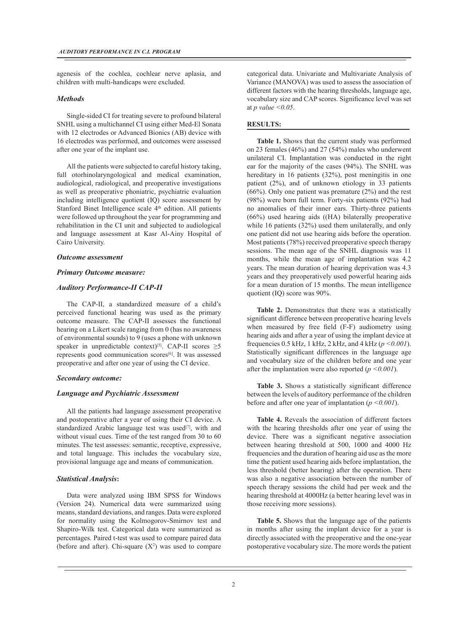agenesis of the cochlea, cochlear nerve aplasia, and children with multi-handicaps were excluded.

# *Methods*

Single-sided CI for treating severe to profound bilateral SNHL using a multichannel CI using either Med-El Sonata with 12 electrodes or Advanced Bionics (AB) device with 16 electrodes was performed, and outcomes were assessed after one year of the implant use.

All the patients were subjected to careful history taking, full otorhinolaryngological and medical examination, audiological, radiological, and preoperative investigations as well as preoperative phoniatric, psychiatric evaluation including intelligence quotient (IQ) score assessment by Stanford Binet Intelligence scale 4<sup>th</sup> edition. All patients were followed up throughout the year for programming and rehabilitation in the CI unit and subjected to audiological and language assessment at Kasr Al-Ainy Hospital of Cairo University.

# *Outcome assessment*

# *Primary Outcome measure:*

# *Auditory Performance-II CAP-II*

The CAP-II, a standardized measure of a child's perceived functional hearing was used as the primary outcome measure. The CAP-II assesses the functional hearing on a Likert scale ranging from 0 (has no awareness of environmental sounds) to 9 (uses a phone with unknown speaker in unpredictable context)<sup>[5]</sup>. CAP-II scores  $\geq$ 5 represents good communication scores<sup>[6]</sup>. It was assessed preoperative and after one year of using the CI device.

#### *Secondary outcome:*

#### *Language and Psychiatric Assessment*

All the patients had language assessment preoperative and postoperative after a year of using their CI device. A standardized Arabic language test was used<sup>[7]</sup>, with and without visual cues. Time of the test ranged from 30 to 60 minutes. The test assesses: semantic, receptive, expressive, and total language. This includes the vocabulary size, provisional language age and means of communication.

# *Statistical Analysis***:**

Data were analyzed using IBM SPSS for Windows (Version 24). Numerical data were summarized using means, standard deviations, and ranges. Data were explored for normality using the Kolmogorov-Smirnov test and Shapiro-Wilk test. Categorical data were summarized as percentages. Paired t-test was used to compare paired data (before and after). Chi-square  $(X^2)$  was used to compare categorical data. Univariate and Multivariate Analysis of Variance (MANOVA) was used to assess the association of different factors with the hearing thresholds, language age, vocabulary size and CAP scores. Significance level was set at *p value <0.05*.

## **RESULTS:**

**Table 1.** Shows that the current study was performed on 23 females (46%) and 27 (54%) males who underwent unilateral CI. Implantation was conducted in the right ear for the majority of the cases (94%). The SNHL was hereditary in 16 patients (32%), post meningitis in one patient (2%), and of unknown etiology in 33 patients  $(66\%)$ . Only one patient was premature  $(2\%)$  and the rest (98%) were born full term. Forty-six patients (92%) had no anomalies of their inner ears. Thirty-three patients (66%) used hearing aids ((HA) bilaterally preoperative while 16 patients (32%) used them unilaterally, and only one patient did not use hearing aids before the operation. Most patients (78%) received preoperative speech therapy sessions. The mean age of the SNHL diagnosis was 11 months, while the mean age of implantation was 4.2 years. The mean duration of hearing deprivation was 4.3 years and they preoperatively used powerful hearing aids for a mean duration of 15 months. The mean intelligence quotient (IQ) score was 90%.

**Table 2.** Demonstrates that there was a statistically significant difference between preoperative hearing levels when measured by free field (F-F) audiometry using hearing aids and after a year of using the implant device at frequencies 0.5 kHz, 1 kHz, 2 kHz, and 4 kHz (*p <0.001*). Statistically significant differences in the language age and vocabulary size of the children before and one year after the implantation were also reported (*p <0.001*).

Table 3. Shows a statistically significant difference between the levels of auditory performance of the children before and after one year of implantation (*p <0.001*).

**Table 4.** Reveals the association of different factors with the hearing thresholds after one year of using the device. There was a significant negative association between hearing threshold at 500, 1000 and 4000 Hz frequencies and the duration of hearing aid use as the more time the patient used hearing aids before implantation, the less threshold (better hearing) after the operation. There was also a negative association between the number of speech therapy sessions the child had per week and the hearing threshold at 4000Hz (a better hearing level was in those receiving more sessions).

**Table 5.** Shows that the language age of the patients in months after using the implant device for a year is directly associated with the preoperative and the one-year postoperative vocabulary size. The more words the patient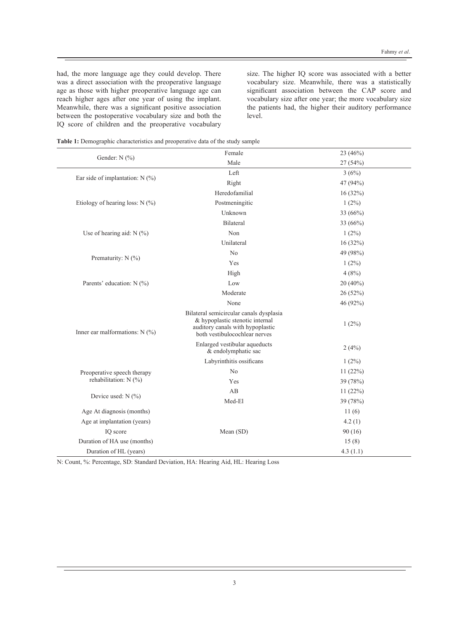had, the more language age they could develop. There was a direct association with the preoperative language age as those with higher preoperative language age can reach higher ages after one year of using the implant. Meanwhile, there was a significant positive association between the postoperative vocabulary size and both the IQ score of children and the preoperative vocabulary size. The higher IQ score was associated with a better vocabulary size. Meanwhile, there was a statistically significant association between the CAP score and vocabulary size after one year; the more vocabulary size the patients had, the higher their auditory performance level.

| Table 1: Demographic characteristics and preoperative data of the study sample |  |
|--------------------------------------------------------------------------------|--|
|--------------------------------------------------------------------------------|--|

|                                   | Female                                                                                                                                          | 23 (46%)   |  |
|-----------------------------------|-------------------------------------------------------------------------------------------------------------------------------------------------|------------|--|
| Gender: N (%)                     | Male                                                                                                                                            | 27(54%)    |  |
|                                   | Left                                                                                                                                            | 3(6%)      |  |
| Ear side of implantation: $N$ (%) | Right                                                                                                                                           | 47 (94%)   |  |
|                                   | Heredofamilial                                                                                                                                  | 16(32%)    |  |
| Etiology of hearing loss: $N$ (%) | Postmeningitic                                                                                                                                  | $1(2\%)$   |  |
|                                   | Unknown                                                                                                                                         | 33 (66%)   |  |
|                                   | Bilateral                                                                                                                                       | 33 (66%)   |  |
| Use of hearing aid: $N$ (%)       | Non                                                                                                                                             | $1(2\%)$   |  |
|                                   | Unilateral                                                                                                                                      | 16(32%)    |  |
|                                   | N <sub>0</sub>                                                                                                                                  | 49 (98%)   |  |
| Prematurity: N (%)                | Yes                                                                                                                                             | $1(2\%)$   |  |
|                                   | High                                                                                                                                            | 4(8%)      |  |
| Parents' education: N (%)         | Low                                                                                                                                             | $20(40\%)$ |  |
|                                   | Moderate                                                                                                                                        | 26(52%)    |  |
|                                   | None                                                                                                                                            | 46 (92%)   |  |
| Inner ear malformations: $N$ (%)  | Bilateral semicircular canals dysplasia<br>& hypoplastic stenotic internal<br>auditory canals with hypoplastic<br>both vestibulocochlear nerves | $1(2\%)$   |  |
|                                   | Enlarged vestibular aqueducts<br>& endolymphatic sac                                                                                            | 2(4%)      |  |
|                                   | Labyrinthitis ossificans                                                                                                                        | $1(2\%)$   |  |
| Preoperative speech therapy       | N <sub>0</sub>                                                                                                                                  | 11(22%)    |  |
| rehabilitation: $N$ (%)           | Yes                                                                                                                                             | 39 (78%)   |  |
|                                   | AB                                                                                                                                              | 11(22%)    |  |
| Device used: $N$ (%)              | Med-El                                                                                                                                          | 39 (78%)   |  |
| Age At diagnosis (months)         |                                                                                                                                                 | 11(6)      |  |
| Age at implantation (years)       |                                                                                                                                                 | 4.2(1)     |  |
| IQ score                          | Mean (SD)                                                                                                                                       | 90(16)     |  |
| Duration of HA use (months)       |                                                                                                                                                 | 15(8)      |  |
| Duration of HL (years)            |                                                                                                                                                 | 4.3(1.1)   |  |

N: Count, %: Percentage, SD: Standard Deviation, HA: Hearing Aid, HL: Hearing Loss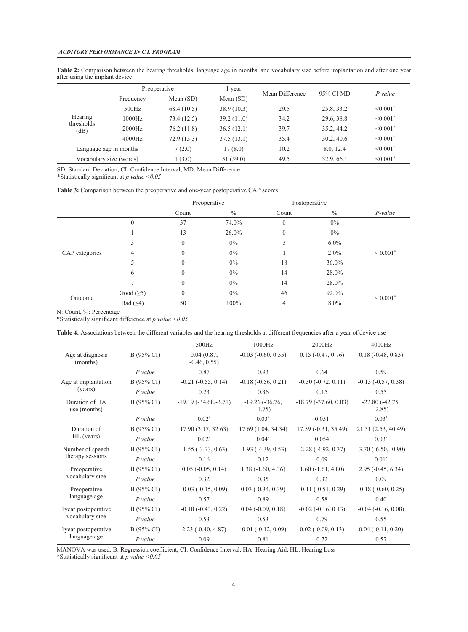**Table 2:** Comparison between the hearing thresholds, language age in months, and vocabulary size before implantation and after one year after using the implant device

|                       | Preoperative            |             | l year      | Mean Difference | 95% CI MD  | $P$ value                 |
|-----------------------|-------------------------|-------------|-------------|-----------------|------------|---------------------------|
|                       | Frequency               | Mean $(SD)$ | Mean $(SD)$ |                 |            |                           |
|                       | 500Hz                   | 68.4(10.5)  | 38.9(10.3)  | 29.5            | 25.8, 33.2 | $\leq 0.001$ <sup>*</sup> |
| Hearing<br>thresholds | 1000Hz                  | 73.4 (12.5) | 39.2(11.0)  | 34.2            | 29.6, 38.8 | $\leq 0.001$ <sup>*</sup> |
| (dB)                  | 2000Hz                  | 76.2(11.8)  | 36.5(12.1)  | 39.7            | 35.2, 44.2 | $\leq 0.001$ <sup>*</sup> |
|                       | 4000Hz                  | 72.9(13.3)  | 37.5(13.1)  | 35.4            | 30.2, 40.6 | $\leq 0.001$ <sup>*</sup> |
|                       | Language age in months  | 7(2.0)      | 17 (8.0)    | 10.2            | 8.0, 12.4  | $\leq 0.001$ <sup>*</sup> |
|                       | Vocabulary size (words) | 1(3.0)      | 51 (59.0)   | 49.5            | 32.9, 66.1 | $\leq 0.001$ <sup>*</sup> |

SD: Standard Deviation, CI: Confidence Interval, MD: Mean Difference \*Statistically significant at *p value <0.05*

| <b>Table 3:</b> Comparison between the preoperative and one-year postoperative CAP scores |  |  |
|-------------------------------------------------------------------------------------------|--|--|
|-------------------------------------------------------------------------------------------|--|--|

|                |                  | Preoperative |               | Postoperative    |               |                          |
|----------------|------------------|--------------|---------------|------------------|---------------|--------------------------|
|                |                  | Count        | $\frac{0}{0}$ | Count            | $\frac{0}{0}$ | $P-value$                |
|                | $\boldsymbol{0}$ | 37           | 74.0%         | $\boldsymbol{0}$ | $0\%$         |                          |
|                |                  | 13           | $26.0\%$      | $\boldsymbol{0}$ | $0\%$         |                          |
| CAP categories | 3                | $\mathbf{0}$ | $0\%$         | 3                | $6.0\%$       |                          |
|                | 4                | $\mathbf{0}$ | $0\%$         |                  | $2.0\%$       | ${}< 0.001$ <sup>*</sup> |
|                | C                | $\mathbf{0}$ | $0\%$         | 18               | 36.0%         |                          |
|                | 6                | $\mathbf{0}$ | $0\%$         | 14               | 28.0%         |                          |
|                |                  | $\mathbf{0}$ | $0\%$         | 14               | 28.0%         |                          |
| Outcome        | Good $(\geq 5)$  | $\mathbf{0}$ | $0\%$         | 46               | 92.0%         |                          |
|                | Bad $( \leq 4)$  | 50           | 100%          | 4                | $8.0\%$       | $< 0.001$ <sup>*</sup>   |

N: Count, %: Percentage

\*Statistically significant difference at *p value <0.05*

**Table 4:** Associations between the different variables and the hearing thresholds at different frequencies after a year of device use

|                                        |              | 500Hz                       | 1000Hz                       | 2000Hz                       | 4000Hz                       |
|----------------------------------------|--------------|-----------------------------|------------------------------|------------------------------|------------------------------|
| Age at diagnosis<br>(months)           | $B(95\% CI)$ | 0.04(0.87,<br>$-0.46, 0.55$ | $-0.03$ $(-0.60, 0.55)$      | $0.15(-0.47, 0.76)$          | $0.18(-0.48, 0.83)$          |
|                                        | $P$ value    | 0.87                        | 0.93                         | 0.64                         | 0.59                         |
| Age at implantation                    | B (95% CI)   | $-0.21$ $(-0.55, 0.14)$     | $-0.18$ $(-0.56, 0.21)$      | $-0.30$ $(-0.72, 0.11)$      | $-0.13$ $(-0.57, 0.38)$      |
| (years)                                | P value      | 0.23                        | 0.36                         | 0.15                         | 0.55                         |
| Duration of HA<br>use (months)         | B (95% CI)   | $-19.19(-34.68,-3.71)$      | $-19.26(-36.76,$<br>$-1.75)$ | $-18.79(-37.60, 0.03)$       | $-22.80(-42.75,$<br>$-2.85$  |
|                                        | $P$ value    | $0.02*$                     | $0.03*$                      | 0.051                        | $0.03*$                      |
| Duration of                            | B (95% CI)   | 17.90(3.17, 32.63)          | 17.69 (1.04, 34.34)          | $17.59(-0.31, 35.49)$        | 21.51 (2.53, 40.49)          |
| HL (years)                             | P value      | $0.02*$                     | $0.04*$                      | 0.054                        | $0.03*$                      |
| Number of speech                       | $B(95\% CI)$ | $-1.55$ $(-3.73, 0.63)$     | $-1.93$ $(-4.39, 0.53)$      | $-2.28(-4.92, 0.37)$         | $-3.70(-6.50, -0.90)$        |
| therapy sessions                       | $P$ value    | 0.16                        | 0.12                         | 0.09                         | $0.01*$                      |
| Preoperative<br>vocabulary size        | B (95% CI)   | $0.05$ ( $-0.05$ , $0.14$ ) | $1.38(-1.60, 4.36)$          | $1.60(-1.61, 4.80)$          | $2.95 (-0.45, 6.34)$         |
|                                        | $P$ value    | 0.32                        | 0.35                         | 0.32                         | 0.09                         |
| Preoperative<br>language age           | B (95% CI)   | $-0.03$ $(-0.15, 0.09)$     | $0.03$ ( $-0.34$ , $0.39$ )  | $-0.11(-0.51, 0.29)$         | $-0.18$ ( $-0.60$ , $0.25$ ) |
|                                        | $P$ value    | 0.57                        | 0.89                         | 0.58                         | 0.40                         |
| lyear postoperative<br>vocabulary size | B (95% CI)   | $-0.10$ $(-0.43, 0.22)$     | $0.04$ ( $-0.09$ , $0.18$ )  | $-0.02$ ( $-0.16$ , $0.13$ ) | $-0.04$ $(-0.16, 0.08)$      |
|                                        | $P$ value    | 0.53                        | 0.53                         | 0.79                         | 0.55                         |
| lyear postoperative<br>language age    | B (95% CI)   | $2.23(-0.40, 4.87)$         | $-0.01$ $(-0.12, 0.09)$      | $0.02$ ( $-0.09$ , $0.13$ )  | $0.04 (-0.11, 0.20)$         |
|                                        | $P$ value    | 0.09                        | 0.81                         | 0.72                         | 0.57                         |

MANOVA was used, B: Regression coefficient, CI: Confidence Interval, HA: Hearing Aid, HL: Hearing Loss \*Statistically significant at *p value <0.05*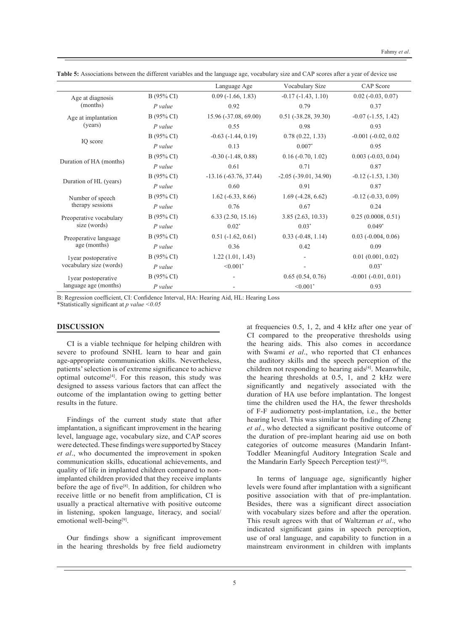|                                                |            | Language Age                | Vocabulary Size               | <b>CAP</b> Score             |
|------------------------------------------------|------------|-----------------------------|-------------------------------|------------------------------|
| Age at diagnosis                               | B (95% CI) | $0.09$ ( $-1.66$ , $1.83$ ) | $-0.17(-1.43, 1.10)$          | $0.02$ ( $-0.03$ , $0.07$ )  |
| (months)                                       | $P$ value  | 0.92                        | 0.79                          | 0.37                         |
| Age at implantation                            | B (95% CI) | 15.96 (-37.08, 69.00)       | $0.51$ ( $-38.28$ , $39.30$ ) | $-0.07$ $(-1.55, 1.42)$      |
| (years)                                        | $P$ value  | 0.55                        | 0.98                          | 0.93                         |
|                                                | B (95% CI) | $-0.63$ $(-1.44, 0.19)$     | 0.78(0.22, 1.33)              | $-0.001 (-0.02, 0.02)$       |
| IQ score                                       | $P$ value  | 0.13                        | $0.007*$                      | 0.95                         |
|                                                | B (95% CI) | $-0.30(-1.48, 0.88)$        | $0.16(-0.70, 1.02)$           | $0.003$ ( $-0.03$ , $0.04$ ) |
| Duration of HA (months)                        | $P$ value  | 0.61                        | 0.71                          | 0.87                         |
|                                                | B (95% CI) | $-13.16(-63.76, 37.44)$     | $-2.05$ $(-39.01, 34.90)$     | $-0.12(-1.53, 1.30)$         |
| Duration of HL (years)                         | $P$ value  | 0.60                        | 0.91                          | 0.87                         |
| Number of speech<br>therapy sessions           | B (95% CI) | $1.62(-6.33, 8.66)$         | $1.69(-4.28, 6.62)$           | $-0.12$ $(-0.33, 0.09)$      |
|                                                | P value    | 0.76                        | 0.67                          | 0.24                         |
| Preoperative vocabulary<br>size (words)        | B (95% CI) | 6.33(2.50, 15.16)           | 3.85(2.63, 10.33)             | 0.25(0.0008, 0.51)           |
|                                                | $P$ value  | $0.02*$                     | $0.03*$                       | $0.049*$                     |
| Preoperative language<br>age (months)          | B (95% CI) | $0.51$ ( $-1.62$ , $0.61$ ) | $0.33$ ( $-0.48$ , 1.14)      | $0.03$ ( $-0.004$ , $0.06$ ) |
|                                                | P value    | 0.36                        | 0.42                          | 0.09                         |
| lyear postoperative<br>vocabulary size (words) | B (95% CI) | 1.22(1.01, 1.43)            | $\overline{\phantom{a}}$      | 0.01(0.001, 0.02)            |
|                                                | $P$ value  | $\leq 0.001$ <sup>*</sup>   |                               | $0.03*$                      |
| lyear postoperative                            | B (95% CI) |                             | 0.65(0.54, 0.76)              | $-0.001 (-0.01, 0.01)$       |
| language age (months)                          | $P$ value  |                             | $< 0.001$ <sup>*</sup>        | 0.93                         |

**Table 5:** Associations between the different variables and the language age, vocabulary size and CAP scores after a year of device use

B: Regression coefficient, CI: Confidence Interval, HA: Hearing Aid, HL: Hearing Loss

\*Statistically significant at *p value <0.05*

# **DISCUSSION**

CI is a viable technique for helping children with severe to profound SNHL learn to hear and gain age-appropriate communication skills. Nevertheless, patients' selection is of extreme significance to achieve optimal outcome[4]. For this reason, this study was designed to assess various factors that can affect the outcome of the implantation owing to getting better results in the future.

Findings of the current study state that after implantation, a significant improvement in the hearing level, language age, vocabulary size, and CAP scores were detected. These findings were supported by Stacey *et al*., who documented the improvement in spoken communication skills, educational achievements, and quality of life in implanted children compared to nonimplanted children provided that they receive implants before the age of five<sup>[8]</sup>. In addition, for children who receive little or no benefit from amplification, CI is usually a practical alternative with positive outcome in listening, spoken language, literacy, and social/ emotional well-being<sup>[9]</sup>.

Our findings show a significant improvement in the hearing thresholds by free field audiometry

at frequencies 0.5, 1, 2, and 4 kHz after one year of CI compared to the preoperative thresholds using the hearing aids. This also comes in accordance with Swami *et al*., who reported that CI enhances the auditory skills and the speech perception of the children not responding to hearing aids<sup>[4]</sup>. Meanwhile, the hearing thresholds at 0.5, 1, and 2 kHz were significantly and negatively associated with the duration of HA use before implantation. The longest time the children used the HA, the fewer thresholds of F-F audiometry post-implantation, i.e., the better hearing level. This was similar to the finding of Zheng *et al*., who detected a significant positive outcome of the duration of pre-implant hearing aid use on both categories of outcome measures (Mandarin Infant-Toddler Meaningful Auditory Integration Scale and the Mandarin Early Speech Perception test)<sup>[10]</sup>.

In terms of language age, significantly higher levels were found after implantation with a significant positive association with that of pre-implantation. Besides, there was a significant direct association with vocabulary sizes before and after the operation. This result agrees with that of Waltzman *et al*., who indicated significant gains in speech perception, use of oral language, and capability to function in a mainstream environment in children with implants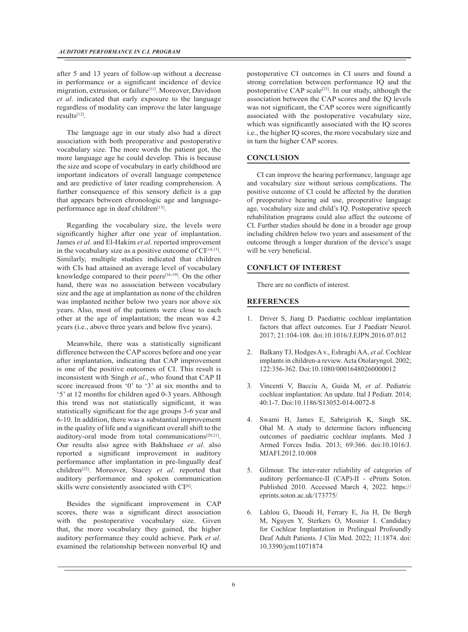after 5 and 13 years of follow-up without a decrease in performance or a significant incidence of device migration, extrusion, or failure<sup>[11]</sup>. Moreover, Davidson *et al*. indicated that early exposure to the language regardless of modality can improve the later language results[12].

The language age in our study also had a direct association with both preoperative and postoperative vocabulary size. The more words the patient got, the more language age he could develop. This is because the size and scope of vocabulary in early childhood are important indicators of overall language competence and are predictive of later reading comprehension. A further consequence of this sensory deficit is a gap that appears between chronologic age and languageperformance age in deaf children<sup>[13]</sup>.

Regarding the vocabulary size, the levels were significantly higher after one year of implantation. James *et al*. and El-Hakim *et al*. reported improvement in the vocabulary size as a positive outcome of  $CI^{[14,15]}$ . Similarly, multiple studies indicated that children with CIs had attained an average level of vocabulary knowledge compared to their peers $[16-19]$ . On the other hand, there was no association between vocabulary size and the age at implantation as none of the children was implanted neither below two years nor above six years. Also, most of the patients were close to each other at the age of implantation; the mean was 4.2 years (i.e., above three years and below five years).

Meanwhile, there was a statistically significant difference between the CAP scores before and one year after implantation, indicating that CAP improvement is one of the positive outcomes of CI. This result is inconsistent with Singh *et al*., who found that CAP II score increased from '0' to '3' at six months and to '5' at 12 months for children aged 0-3 years. Although this trend was not statistically significant, it was statistically significant for the age groups 3-6 year and 6-10. In addition, there was a substantial improvement in the quality of life and a significant overall shift to the auditory-oral mode from total communications<sup>[20,21]</sup>. Our results also agree with Bakhshaee *et al*. also reported a significant improvement in auditory performance after implantation in pre-lingually deaf children[22]. Moreover, Stacey *et al*. reported that auditory performance and spoken communication skills were consistently associated with CI<sup>[6]</sup>.

Besides the significant improvement in CAP scores, there was a significant direct association with the postoperative vocabulary size. Given that, the more vocabulary they gained, the higher auditory performance they could achieve. Park *et al*. examined the relationship between nonverbal IQ and

postoperative CI outcomes in CI users and found a strong correlation between performance IQ and the postoperative CAP scale<sup>[23]</sup>. In our study, although the association between the CAP scores and the IQ levels was not significant, the CAP scores were significantly associated with the postoperative vocabulary size, which was significantly associated with the IQ scores i.e., the higher IQ scores, the more vocabulary size and in turn the higher CAP scores.

# **CONCLUSION**

CI can improve the hearing performance, language age and vocabulary size without serious complications. The positive outcome of CI could be affected by the duration of preoperative hearing aid use, preoperative language age, vocabulary size and child's IQ. Postoperative speech rehabilitation programs could also affect the outcome of CI. Further studies should be done in a broader age group including children below two years and assessment of the outcome through a longer duration of the device's usage will be very beneficial.

#### **CONFLICT OF INTEREST**

There are no conflicts of interest.

# **REFERENCES**

- 1. Driver S, Jiang D. Paediatric cochlear implantation factors that affect outcomes. Eur J Paediatr Neurol. 2017; 21:104-108. doi:10.1016/J.EJPN.2016.07.012
- 2. Balkany TJ, Hodges A v., Eshraghi AA, *et al*. Cochlear implants in children-a review. Acta Otolaryngol. 2002; 122:356-362. Doi:10.1080/00016480260000012
- 3. Vincenti V, Bacciu A, Guida M, *et al*. Pediatric cochlear implantation: An update. Ital J Pediatr. 2014; 40:1-7. Doi:10.1186/S13052-014-0072-8
- 4. Swami H, James E, Sabrigirish K, Singh SK, Ohal M. A study to determine factors influencing outcomes of paediatric cochlear implants. Med J Armed Forces India. 2013; 69:366. doi:10.1016/J. MJAFI.2012.10.008
- 5. Gilmour. The inter-rater reliability of categories of auditory performance-II (CAP)-II - ePrints Soton. Published 2010. Accessed March 4, 2022. https:// eprints.soton.ac.uk/173775/
- 6. Lahlou G, Daoudi H, Ferrary E, Jia H, De Bergh M, Nguyen Y, Sterkers O, Mosnier I. Candidacy for Cochlear Implantation in Prelingual Profoundly Deaf Adult Patients. J Clin Med. 2022; 11:1874. doi: 10.3390/jcm11071874